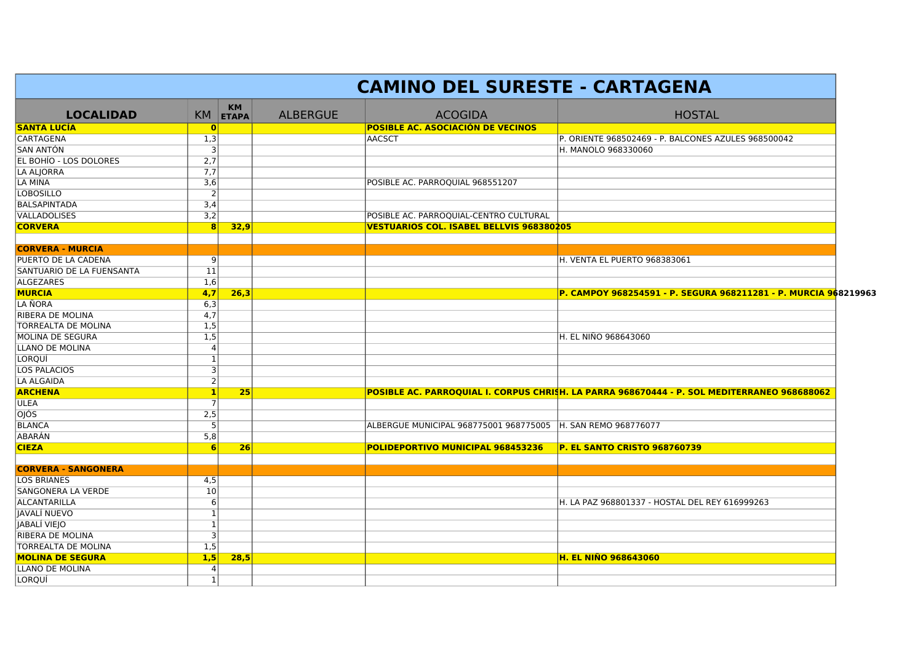|                            |                  | <b>CAMINO DEL SURESTE - CARTAGENA</b> |                 |                                                                 |                                                                                             |  |  |  |  |  |
|----------------------------|------------------|---------------------------------------|-----------------|-----------------------------------------------------------------|---------------------------------------------------------------------------------------------|--|--|--|--|--|
| <b>LOCALIDAD</b>           |                  | <b>KM</b><br>KM ETAPA                 | <b>ALBERGUE</b> | <b>ACOGIDA</b>                                                  | <b>HOSTAL</b>                                                                               |  |  |  |  |  |
| SANTA LUCÍA                | 0                |                                       |                 | <b>POSIBLE AC. ASOCIACIÓN DE VECINOS</b>                        |                                                                                             |  |  |  |  |  |
| CARTAGENA                  | 1,3              |                                       |                 | <b>AACSCT</b>                                                   | P. ORIENTE 968502469 - P. BALCONES AZULES 968500042                                         |  |  |  |  |  |
| SAN ANTÓN                  | 3                |                                       |                 |                                                                 | H. MANOLO 968330060                                                                         |  |  |  |  |  |
| EL BOHÍO - LOS DOLORES     | 2,7              |                                       |                 |                                                                 |                                                                                             |  |  |  |  |  |
| LA ALJORRA                 | 7,7              |                                       |                 |                                                                 |                                                                                             |  |  |  |  |  |
| LA MINA                    | $\overline{3,6}$ |                                       |                 | POSIBLE AC. PARROQUIAL 968551207                                |                                                                                             |  |  |  |  |  |
| <b>LOBOSILLO</b>           | $\overline{2}$   |                                       |                 |                                                                 |                                                                                             |  |  |  |  |  |
| BALSAPINTADA               | 3,4              |                                       |                 |                                                                 |                                                                                             |  |  |  |  |  |
| VALLADOLISES               | 3,2              |                                       |                 | POSIBLE AC. PARROQUIAL-CENTRO CULTURAL                          |                                                                                             |  |  |  |  |  |
| <b>CORVERA</b>             | 8                | 32,9                                  |                 | <b>VESTUARIOS COL. ISABEL BELLVIS 968380205</b>                 |                                                                                             |  |  |  |  |  |
|                            |                  |                                       |                 |                                                                 |                                                                                             |  |  |  |  |  |
| <b>CORVERA - MURCIA</b>    |                  |                                       |                 |                                                                 |                                                                                             |  |  |  |  |  |
| PUERTO DE LA CADENA        | 9                |                                       |                 |                                                                 | H. VENTA EL PUERTO 968383061                                                                |  |  |  |  |  |
| SANTUARIO DE LA FUENSANTA  | 11               |                                       |                 |                                                                 |                                                                                             |  |  |  |  |  |
| ALGEZARES                  | 1,6              |                                       |                 |                                                                 |                                                                                             |  |  |  |  |  |
| <b>MURCIA</b>              | 4,7              | 26,3                                  |                 |                                                                 | P. CAMPOY 968254591 - P. SEGURA 968211281 - P. MURCIA 968219963                             |  |  |  |  |  |
| LA ÑORA                    | 6,3              |                                       |                 |                                                                 |                                                                                             |  |  |  |  |  |
| RIBERA DE MOLINA           | 4,7              |                                       |                 |                                                                 |                                                                                             |  |  |  |  |  |
| TORREALTA DE MOLINA        | 1,5              |                                       |                 |                                                                 |                                                                                             |  |  |  |  |  |
| MOLINA DE SEGURA           | 1,5              |                                       |                 |                                                                 | <b>H. EL NIÑO 968643060</b>                                                                 |  |  |  |  |  |
| LLANO DE MOLINA            | 4                |                                       |                 |                                                                 |                                                                                             |  |  |  |  |  |
| LORQUÍ                     | $\mathbf{1}$     |                                       |                 |                                                                 |                                                                                             |  |  |  |  |  |
| LOS PALACIOS               | 3                |                                       |                 |                                                                 |                                                                                             |  |  |  |  |  |
| LA ALGAIDA                 | $\overline{2}$   |                                       |                 |                                                                 |                                                                                             |  |  |  |  |  |
| <b>ARCHENA</b>             | $\vert 1 \vert$  | 25                                    |                 |                                                                 | POSIBLE AC. PARROQUIAL I. CORPUS CHRISH. LA PARRA 968670444 - P. SOL MEDITERRANEO 968688062 |  |  |  |  |  |
| ULEA                       |                  |                                       |                 |                                                                 |                                                                                             |  |  |  |  |  |
| 0JÓS                       | 2,5              |                                       |                 |                                                                 |                                                                                             |  |  |  |  |  |
| BLANCA                     | 5 <sup>1</sup>   |                                       |                 | ALBERGUE MUNICIPAL 968775001 968775005    H. SAN REMO 968776077 |                                                                                             |  |  |  |  |  |
| ABARÁN                     | 5,8              |                                       |                 |                                                                 |                                                                                             |  |  |  |  |  |
| <b>CIEZA</b>               | 6                | 26                                    |                 | POLIDEPORTIVO MUNICIPAL 968453236                               | P. EL SANTO CRISTO 968760739                                                                |  |  |  |  |  |
|                            |                  |                                       |                 |                                                                 |                                                                                             |  |  |  |  |  |
| <b>CORVERA - SANGONERA</b> |                  |                                       |                 |                                                                 |                                                                                             |  |  |  |  |  |
| <b>LOS BRIANES</b>         | 4,5              |                                       |                 |                                                                 |                                                                                             |  |  |  |  |  |
| SANGONERA LA VERDE         | 10               |                                       |                 |                                                                 |                                                                                             |  |  |  |  |  |
| ALCANTARILLA               | 6                |                                       |                 |                                                                 | lH. LA PAZ 968801337 - HOSTAL DEL REY 616999263                                             |  |  |  |  |  |
| JAVALÍ NUEVO               | $\mathbf{1}$     |                                       |                 |                                                                 |                                                                                             |  |  |  |  |  |
| JABALÍ VIEJO               | $\mathbf{1}$     |                                       |                 |                                                                 |                                                                                             |  |  |  |  |  |
| RIBERA DE MOLINA           | $\vert$ 3        |                                       |                 |                                                                 |                                                                                             |  |  |  |  |  |
| TORREALTA DE MOLINA        | 1,5              |                                       |                 |                                                                 |                                                                                             |  |  |  |  |  |
| <b>MOLINA DE SEGURA</b>    | 1,5              | 28,5                                  |                 |                                                                 | <b>H. EL NIÑO 968643060</b>                                                                 |  |  |  |  |  |
| LLANO DE MOLINA            | 4                |                                       |                 |                                                                 |                                                                                             |  |  |  |  |  |
| LORQUÍ                     | $\mathbf{1}$     |                                       |                 |                                                                 |                                                                                             |  |  |  |  |  |
|                            |                  |                                       |                 |                                                                 |                                                                                             |  |  |  |  |  |